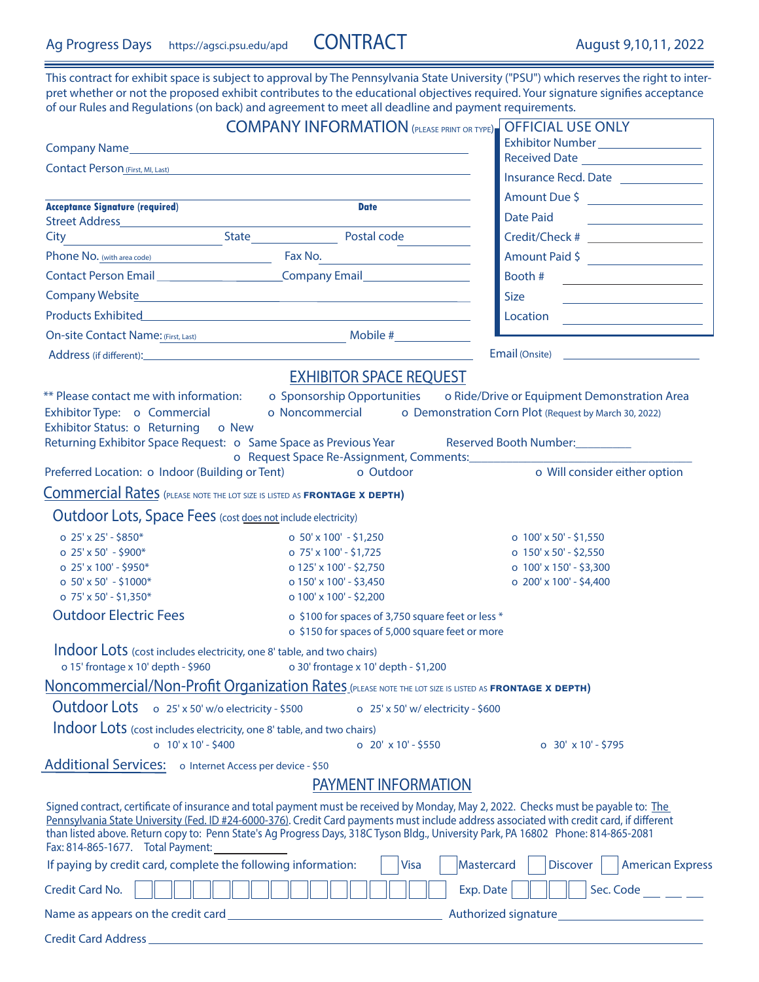This contract for exhibit space is subject to approval by The Pennsylvania State University ("PSU") which reserves the right to interpret whether or not the proposed exhibit contributes to the educational objectives required. Your signature signifies acceptance of our Rules and Regulations (on back) and agreement to meet all deadline and payment requirements.

|                                                                                                             | <b>COMPANY INFORMATION</b> (PLEASE PRINT OR TYPE)                                                                                                                                                                                                                                                                                                                                                                     | <b>OFFICIAL USE ONLY</b>                                                           |
|-------------------------------------------------------------------------------------------------------------|-----------------------------------------------------------------------------------------------------------------------------------------------------------------------------------------------------------------------------------------------------------------------------------------------------------------------------------------------------------------------------------------------------------------------|------------------------------------------------------------------------------------|
|                                                                                                             |                                                                                                                                                                                                                                                                                                                                                                                                                       | Exhibitor Number __________________                                                |
| Contact Person <sub>(First, MI, Last)</sub>                                                                 |                                                                                                                                                                                                                                                                                                                                                                                                                       | Received Date <b>Figure 2018</b><br>Insurance Recd. Date ______________            |
|                                                                                                             |                                                                                                                                                                                                                                                                                                                                                                                                                       | Amount Due \$                                                                      |
| <b>Acceptance Signature (required)</b>                                                                      | <b>Date</b>                                                                                                                                                                                                                                                                                                                                                                                                           | <b>Date Paid</b>                                                                   |
|                                                                                                             | and the state of the State State State Postal code                                                                                                                                                                                                                                                                                                                                                                    | the company of the company of the company<br>Credit/Check # ______________________ |
| City                                                                                                        | Phone No. (with area code) Fax No.                                                                                                                                                                                                                                                                                                                                                                                    |                                                                                    |
|                                                                                                             | Contact Person Email Company Email                                                                                                                                                                                                                                                                                                                                                                                    | Amount Paid \$                                                                     |
|                                                                                                             |                                                                                                                                                                                                                                                                                                                                                                                                                       | Booth #                                                                            |
|                                                                                                             |                                                                                                                                                                                                                                                                                                                                                                                                                       | <b>Size</b>                                                                        |
|                                                                                                             |                                                                                                                                                                                                                                                                                                                                                                                                                       | $\begin{tabular}{c} Location \end{tabular}$                                        |
|                                                                                                             | On-site Contact Name: (First, Last) Mobile #                                                                                                                                                                                                                                                                                                                                                                          |                                                                                    |
|                                                                                                             |                                                                                                                                                                                                                                                                                                                                                                                                                       | Email (Onsite) <u>_______________________</u>                                      |
|                                                                                                             | <b>EXHIBITOR SPACE REQUEST</b>                                                                                                                                                                                                                                                                                                                                                                                        |                                                                                    |
| ** Please contact me with information: o Sponsorship Opportunities<br>Exhibitor Status: o Returning o New   | Exhibitor Type: 0 Commercial 0 Noncommercial 0 Demonstration Corn Plot (Request by March 30, 2022)<br>Returning Exhibitor Space Request: o Same Space as Previous Year Reserved Booth Number:                                                                                                                                                                                                                         | o Ride/Drive or Equipment Demonstration Area                                       |
| Preferred Location: o Indoor (Building or Tent)                                                             | o Outdoor                                                                                                                                                                                                                                                                                                                                                                                                             | o Will consider either option                                                      |
| Commercial Rates (PLEASE NOTE THE LOT SIZE IS LISTED AS FRONTAGE X DEPTH)                                   |                                                                                                                                                                                                                                                                                                                                                                                                                       |                                                                                    |
|                                                                                                             |                                                                                                                                                                                                                                                                                                                                                                                                                       |                                                                                    |
| Outdoor Lots, Space Fees (cost does not include electricity)                                                |                                                                                                                                                                                                                                                                                                                                                                                                                       |                                                                                    |
| o $25' \times 25' - $850*$                                                                                  | o $50' \times 100' - $1,250$                                                                                                                                                                                                                                                                                                                                                                                          | o $100' \times 50'$ - \$1,550                                                      |
| o $25' \times 50' - $900*$<br>o $25' \times 100'$ - \$950*                                                  | o 75' x 100' - \$1,725<br>o 125' x 100' - \$2,750                                                                                                                                                                                                                                                                                                                                                                     | o 150' x 50' - \$2,550<br>o $100' \times 150'$ - \$3,300                           |
| o $50' \times 50' - $1000*$                                                                                 | o 150' x 100' - \$3,450                                                                                                                                                                                                                                                                                                                                                                                               | o 200' x 100' - \$4,400                                                            |
| o $75' \times 50' - $1,350*$                                                                                | o $100' \times 100'$ - \$2,200                                                                                                                                                                                                                                                                                                                                                                                        |                                                                                    |
| <b>Outdoor Electric Fees</b>                                                                                | o \$100 for spaces of 3,750 square feet or less *<br>o \$150 for spaces of 5,000 square feet or more                                                                                                                                                                                                                                                                                                                  |                                                                                    |
| Indoor Lots (cost includes electricity, one 8' table, and two chairs)<br>o 15' frontage x 10' depth - \$960 | o 30' frontage x 10' depth - \$1,200                                                                                                                                                                                                                                                                                                                                                                                  |                                                                                    |
|                                                                                                             | Noncommercial/Non-Profit Organization Rates (PLEASE NOTE THE LOT SIZE IS LISTED AS FRONTAGE X DEPTH)                                                                                                                                                                                                                                                                                                                  |                                                                                    |
| Outdoor Lots o 25' x 50' w/o electricity - \$500                                                            | o 25' x 50' w/ electricity - \$600                                                                                                                                                                                                                                                                                                                                                                                    |                                                                                    |
| Indoor Lots (cost includes electricity, one 8' table, and two chairs)<br>o $10' \times 10' - $400$          | $0$ 20' x 10' - \$550                                                                                                                                                                                                                                                                                                                                                                                                 | $0.30' \times 10' - $795$                                                          |
| Additional Services: o Internet Access per device - \$50                                                    |                                                                                                                                                                                                                                                                                                                                                                                                                       |                                                                                    |
|                                                                                                             | <b>PAYMENT INFORMATION</b>                                                                                                                                                                                                                                                                                                                                                                                            |                                                                                    |
| Fax: 814-865-1677. Total Payment:                                                                           | Signed contract, certificate of insurance and total payment must be received by Monday, May 2, 2022. Checks must be payable to: The<br>Pennsylvania State University (Fed. ID #24-6000-376). Credit Card payments must include address associated with credit card, if different<br>than listed above. Return copy to: Penn State's Ag Progress Days, 318C Tyson Bldg., University Park, PA 16802 Phone: 814-865-2081 |                                                                                    |
| If paying by credit card, complete the following information:                                               | <b>Visa</b>                                                                                                                                                                                                                                                                                                                                                                                                           | Mastercard<br><b>Discover</b><br><b>American Express</b>                           |
| Credit Card No.                                                                                             |                                                                                                                                                                                                                                                                                                                                                                                                                       | Sec. Code<br>Exp. Date                                                             |
|                                                                                                             |                                                                                                                                                                                                                                                                                                                                                                                                                       | Authorized signature <u>Authorized signature</u>                                   |
|                                                                                                             |                                                                                                                                                                                                                                                                                                                                                                                                                       |                                                                                    |